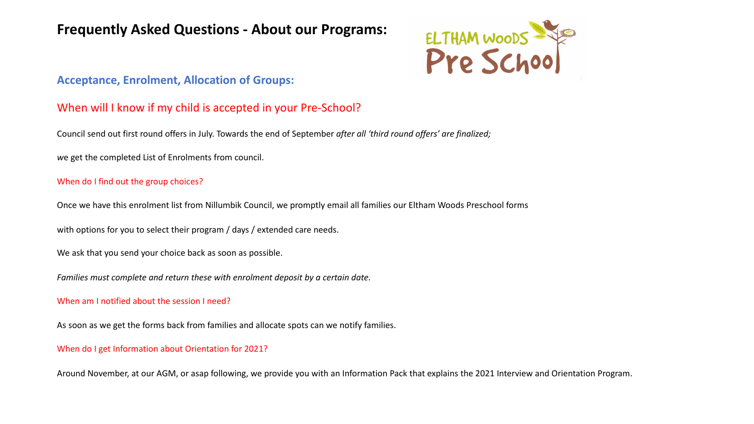## **Frequently Asked Questions - About our Programs:**



### **Acceptance, Enrolment, Allocation of Groups:**

### When will I know if my child is accepted in your Pre-School?

Council send out first round offers in July. Towards the end of September *after all 'third round offers' are finalized;* 

*w*e get the completed List of Enrolments from council.

#### When do I find out the group choices?

Once we have this enrolment list from Nillumbik Council, we promptly email all families our Eltham Woods Preschool forms

with options for you to select their program / days / extended care needs.

We ask that you send your choice back as soon as possible.

*Families must complete and return these with enrolment deposit by a certain date.* 

#### When am I notified about the session I need?

As soon as we get the forms back from families and allocate spots can we notify families.

#### When do I get Information about Orientation for 2021?

Around November, at our AGM, or asap following, we provide you with an Information Pack that explains the 2021 Interview and Orientation Program.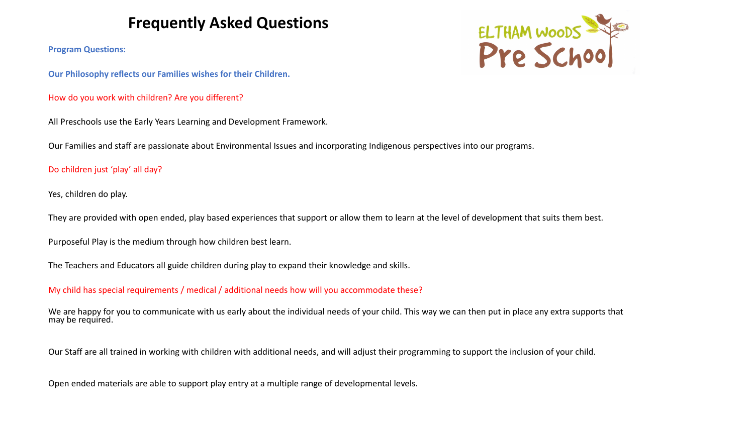## **Frequently Asked Questions**

**Program Questions:**

**Our Philosophy reflects our Families wishes for their Children.** 

How do you work with children? Are you different?

All Preschools use the Early Years Learning and Development Framework.

Our Families and staff are passionate about Environmental Issues and incorporating Indigenous perspectives into our programs.

#### Do children just 'play' all day?

Yes, children do play.

They are provided with open ended, play based experiences that support or allow them to learn at the level of development that suits them best.

Purposeful Play is the medium through how children best learn.

The Teachers and Educators all guide children during play to expand their knowledge and skills.

My child has special requirements / medical / additional needs how will you accommodate these?

We are happy for you to communicate with us early about the individual needs of your child. This way we can then put in place any extra supports that may be required.

Our Staff are all trained in working with children with additional needs, and will adjust their programming to support the inclusion of your child.

Open ended materials are able to support play entry at a multiple range of developmental levels.

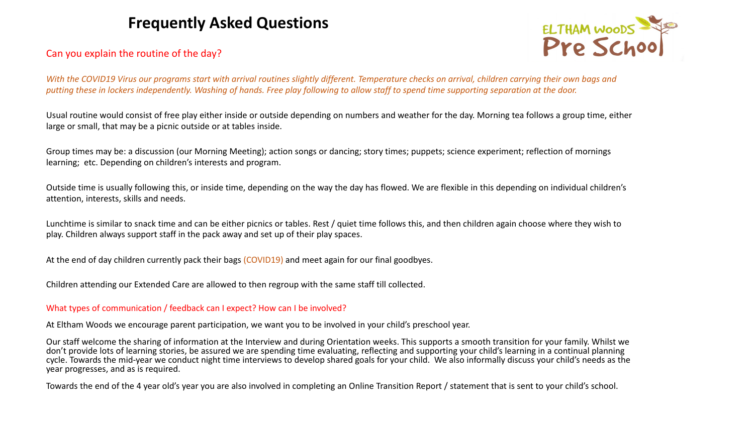## **Frequently Asked Questions**



#### Can you explain the routine of the day?

*With the COVID19 Virus our programs start with arrival routines slightly different. Temperature checks on arrival, children carrying their own bags and putting these in lockers independently. Washing of hands. Free play following to allow staff to spend time supporting separation at the door.*

Usual routine would consist of free play either inside or outside depending on numbers and weather for the day. Morning tea follows a group time, either large or small, that may be a picnic outside or at tables inside.

Group times may be: a discussion (our Morning Meeting); action songs or dancing; story times; puppets; science experiment; reflection of mornings learning; etc. Depending on children's interests and program.

Outside time is usually following this, or inside time, depending on the way the day has flowed. We are flexible in this depending on individual children's attention, interests, skills and needs.

Lunchtime is similar to snack time and can be either picnics or tables. Rest / quiet time follows this, and then children again choose where they wish to play. Children always support staff in the pack away and set up of their play spaces.

At the end of day children currently pack their bags (COVID19) and meet again for our final goodbyes.

Children attending our Extended Care are allowed to then regroup with the same staff till collected.

#### What types of communication / feedback can I expect? How can I be involved?

At Eltham Woods we encourage parent participation, we want you to be involved in your child's preschool year.

Our staff welcome the sharing of information at the Interview and during Orientation weeks. This supports a smooth transition for your family. Whilst we don't provide lots of learning stories, be assured we are spending time evaluating, reflecting and supporting your child's learning in a continual planning cycle. Towards the mid-year we conduct night time interviews to develop shared goals for your child. We also informally discuss your child's needs as the year progresses, and as is required.

Towards the end of the 4 year old's year you are also involved in completing an Online Transition Report / statement that is sent to your child's school.